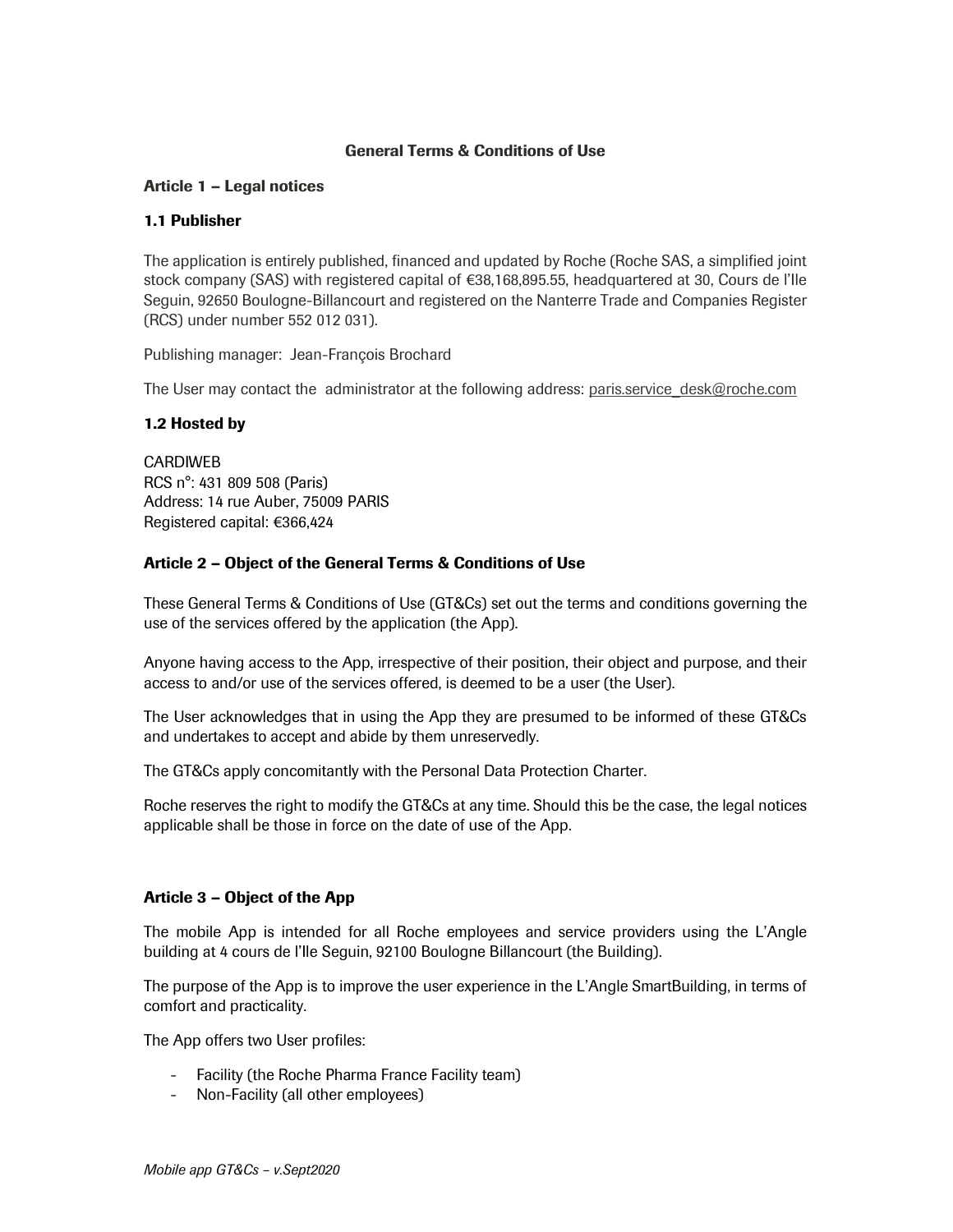# General Terms & Conditions of Use

#### Article 1 – Legal notices

#### 1.1 Publisher

The application is entirely published, financed and updated by Roche (Roche SAS, a simplified joint stock company (SAS) with registered capital of €38,168,895.55, headquartered at 30, Cours de l'Ile Seguin, 92650 Boulogne-Billancourt and registered on the Nanterre Trade and Companies Register (RCS) under number 552 012 031).

Publishing manager: Jean-François Brochard

The User may contact the administrator at the following address: paris.service desk@roche.com

### 1.2 Hosted by

CARDIWEB RCS n°: 431 809 508 (Paris) Address: 14 rue Auber, 75009 PARIS Registered capital: €366,424

### Article 2 – Object of the General Terms & Conditions of Use

These General Terms & Conditions of Use (GT&Cs) set out the terms and conditions governing the use of the services offered by the application (the App).

Anyone having access to the App, irrespective of their position, their object and purpose, and their access to and/or use of the services offered, is deemed to be a user (the User).

The User acknowledges that in using the App they are presumed to be informed of these GT&Cs and undertakes to accept and abide by them unreservedly.

The GT&Cs apply concomitantly with the Personal Data Protection Charter.

Roche reserves the right to modify the GT&Cs at any time. Should this be the case, the legal notices applicable shall be those in force on the date of use of the App.

#### Article 3 – Object of the App

The mobile App is intended for all Roche employees and service providers using the L'Angle building at 4 cours de l'Ile Seguin, 92100 Boulogne Billancourt (the Building).

The purpose of the App is to improve the user experience in the L'Angle SmartBuilding, in terms of comfort and practicality.

The App offers two User profiles:

- Facility (the Roche Pharma France Facility team)
- Non-Facility (all other employees)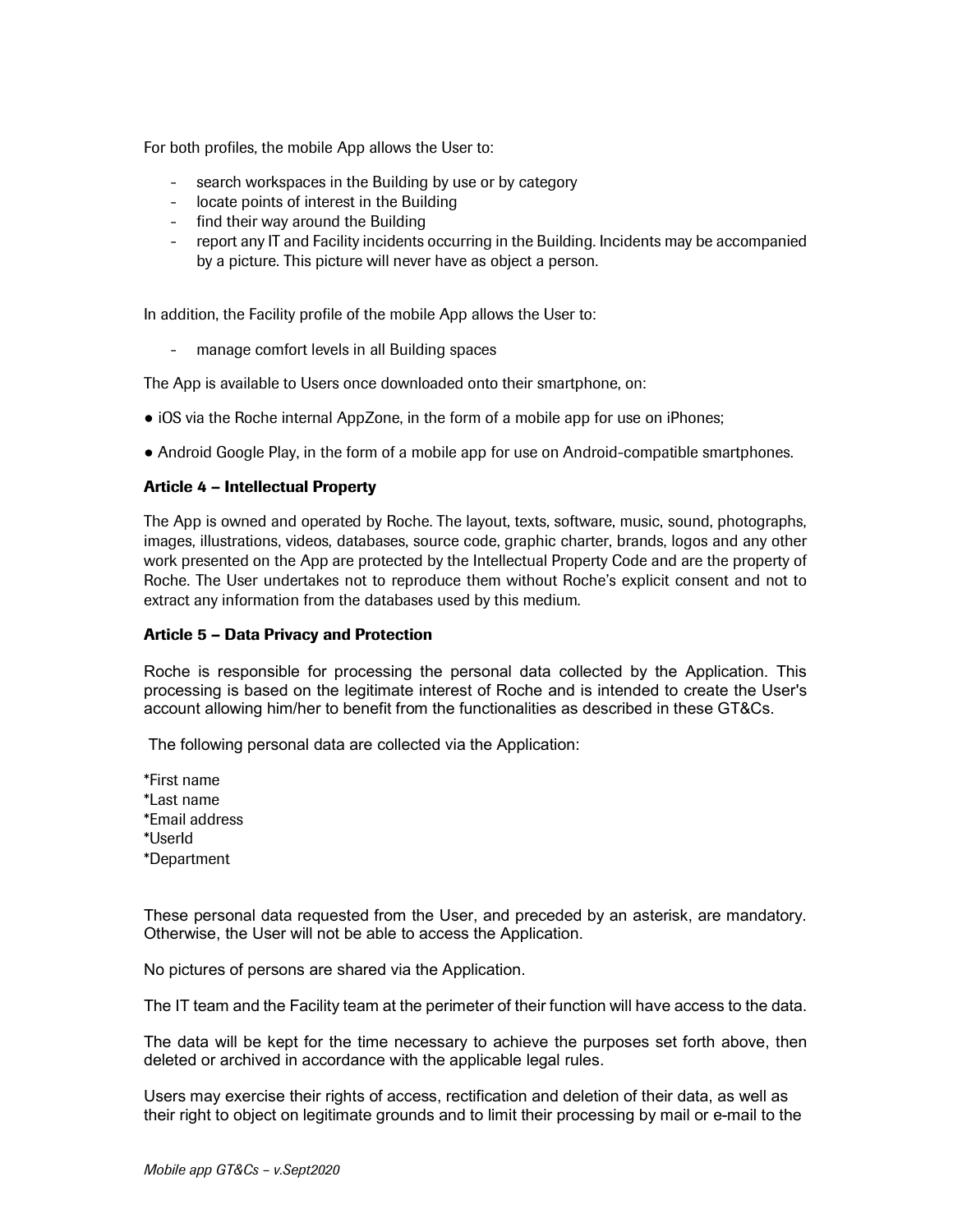For both profiles, the mobile App allows the User to:

- search workspaces in the Building by use or by category
- locate points of interest in the Building
- find their way around the Building
- report any IT and Facility incidents occurring in the Building. Incidents may be accompanied by a picture. This picture will never have as object a person.

In addition, the Facility profile of the mobile App allows the User to:

- manage comfort levels in all Building spaces

The App is available to Users once downloaded onto their smartphone, on:

- iOS via the Roche internal AppZone, in the form of a mobile app for use on iPhones;
- Android Google Play, in the form of a mobile app for use on Android-compatible smartphones.

#### Article 4 – Intellectual Property

The App is owned and operated by Roche. The layout, texts, software, music, sound, photographs, images, illustrations, videos, databases, source code, graphic charter, brands, logos and any other work presented on the App are protected by the Intellectual Property Code and are the property of Roche. The User undertakes not to reproduce them without Roche's explicit consent and not to extract any information from the databases used by this medium.

#### Article 5 – Data Privacy and Protection

Roche is responsible for processing the personal data collected by the Application. This processing is based on the legitimate interest of Roche and is intended to create the User's account allowing him/her to benefit from the functionalities as described in these GT&Cs.

The following personal data are collected via the Application:

\*First name \*Last name \*Email address \*UserId \*Department

These personal data requested from the User, and preceded by an asterisk, are mandatory. Otherwise, the User will not be able to access the Application.

No pictures of persons are shared via the Application.

The IT team and the Facility team at the perimeter of their function will have access to the data.

The data will be kept for the time necessary to achieve the purposes set forth above, then deleted or archived in accordance with the applicable legal rules.

Users may exercise their rights of access, rectification and deletion of their data, as well as their right to object on legitimate grounds and to limit their processing by mail or e-mail to the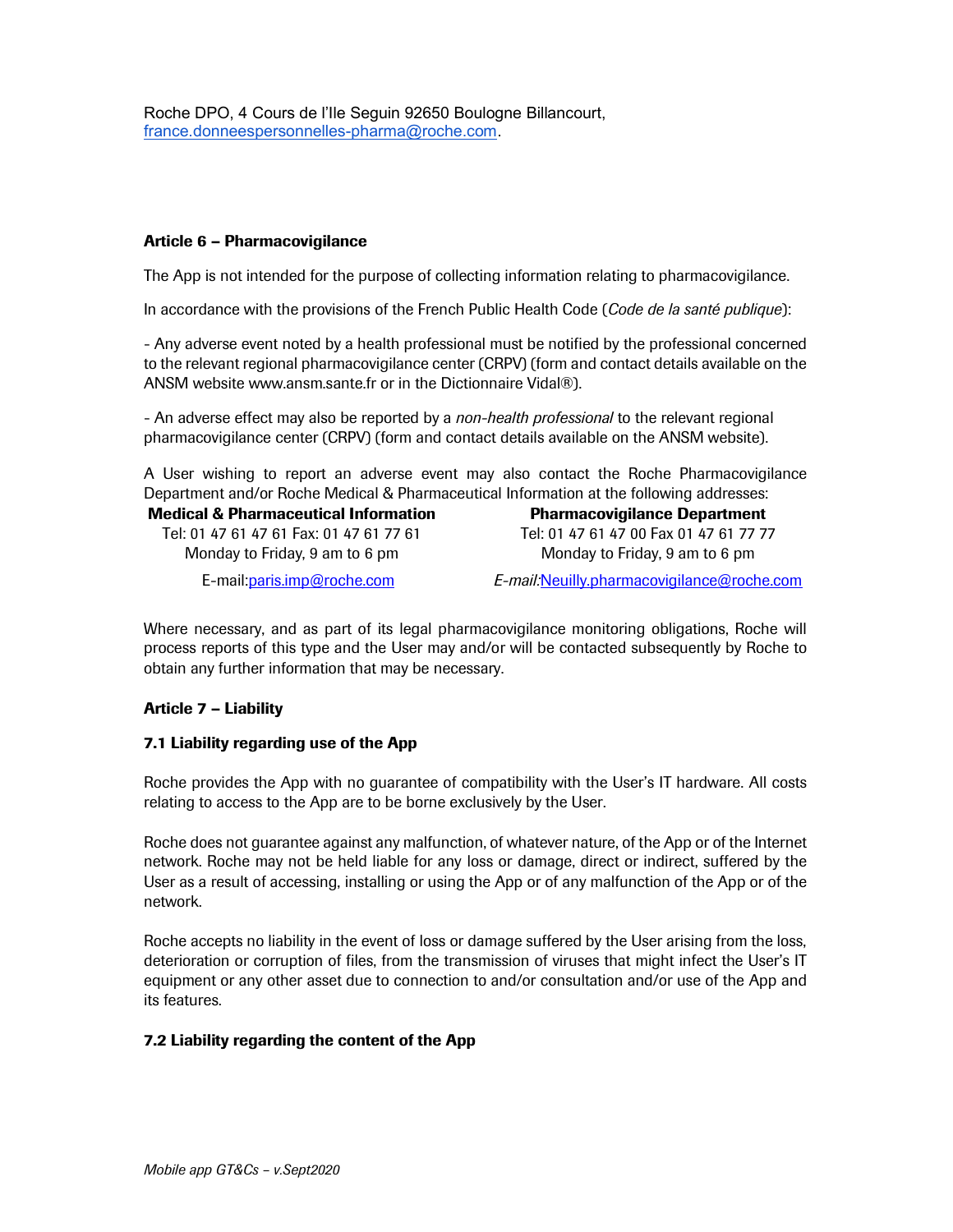Roche DPO, 4 Cours de l'Ile Seguin 92650 Boulogne Billancourt, france.donneespersonnelles-pharma@roche.com.

#### Article 6 – Pharmacovigilance

The App is not intended for the purpose of collecting information relating to pharmacovigilance.

In accordance with the provisions of the French Public Health Code (Code de la santé publique):

- Any adverse event noted by a health professional must be notified by the professional concerned to the relevant regional pharmacovigilance center (CRPV) (form and contact details available on the ANSM website www.ansm.sante.fr or in the Dictionnaire Vidal®).

- An adverse effect may also be reported by a *non-health professional* to the relevant regional pharmacovigilance center (CRPV) (form and contact details available on the ANSM website).

A User wishing to report an adverse event may also contact the Roche Pharmacovigilance Department and/or Roche Medical & Pharmaceutical Information at the following addresses: Medical & Pharmaceutical Information Pharmacovigilance Department

Tel: 01 47 61 47 61 Fax: 01 47 61 77 61 Monday to Friday, 9 am to 6 pm

Tel: 01 47 61 47 00 Fax 01 47 61 77 77 Monday to Friday, 9 am to 6 pm

E-mail:paris.imp@roche.com E-mail:Neuilly.pharmacovigilance@roche.com

Where necessary, and as part of its legal pharmacovigilance monitoring obligations, Roche will process reports of this type and the User may and/or will be contacted subsequently by Roche to obtain any further information that may be necessary.

# Article 7 – Liability

#### 7.1 Liability regarding use of the App

Roche provides the App with no guarantee of compatibility with the User's IT hardware. All costs relating to access to the App are to be borne exclusively by the User.

Roche does not guarantee against any malfunction, of whatever nature, of the App or of the Internet network. Roche may not be held liable for any loss or damage, direct or indirect, suffered by the User as a result of accessing, installing or using the App or of any malfunction of the App or of the network.

Roche accepts no liability in the event of loss or damage suffered by the User arising from the loss, deterioration or corruption of files, from the transmission of viruses that might infect the User's IT equipment or any other asset due to connection to and/or consultation and/or use of the App and its features.

# 7.2 Liability regarding the content of the App